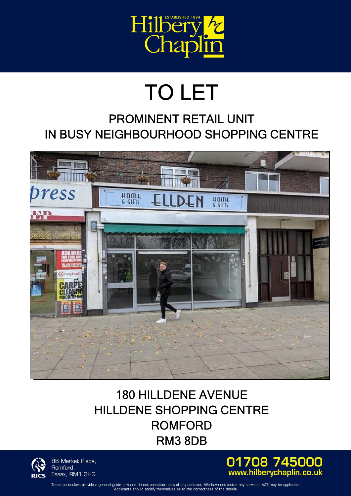

## TO LET

## PROMINENT RETAIL UNIT IN BUSY NEIGHBOURHOOD SHOPPING CENTRE



## 180 HILLDENE AVENUE HILLDENE SHOPPING CENTRE RM3 8DB ROMFORD



86 Market Place, Romford, Essex, RM1 3HQ



These particulars provide a general guide only and do not constitute part of any contract. We have not tested any services. VAT may be applicable. Applicants should satisfy themselves as to the correctness of the details.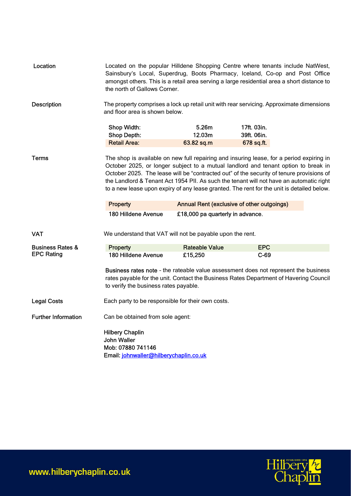| Location                                         | Located on the popular Hilldene Shopping Centre where tenants include NatWest,<br>Sainsbury's Local, Superdrug, Boots Pharmacy, Iceland, Co-op and Post Office<br>amongst others. This is a retail area serving a large residential area a short distance to<br>the north of Gallows Corner.                                                                                                                                                                                                                                        |                                  |                                          |  |
|--------------------------------------------------|-------------------------------------------------------------------------------------------------------------------------------------------------------------------------------------------------------------------------------------------------------------------------------------------------------------------------------------------------------------------------------------------------------------------------------------------------------------------------------------------------------------------------------------|----------------------------------|------------------------------------------|--|
| <b>Description</b>                               | The property comprises a lock up retail unit with rear servicing. Approximate dimensions<br>and floor area is shown below.                                                                                                                                                                                                                                                                                                                                                                                                          |                                  |                                          |  |
|                                                  | Shop Width:<br>Shop Depth:<br><b>Retail Area:</b>                                                                                                                                                                                                                                                                                                                                                                                                                                                                                   | 5.26m<br>12.03m<br>63.82 sq.m    | 17ft. 03in.<br>39ft. 06in.<br>678 sq.ft. |  |
| <b>Terms</b>                                     | The shop is available on new full repairing and insuring lease, for a period expiring in<br>October 2025, or longer subject to a mutual landlord and tenant option to break in<br>October 2025. The lease will be "contracted out" of the security of tenure provisions of<br>the Landlord & Tenant Act 1954 PII. As such the tenant will not have an automatic right<br>to a new lease upon expiry of any lease granted. The rent for the unit is detailed below.<br><b>Property</b><br>Annual Rent (exclusive of other outgoings) |                                  |                                          |  |
|                                                  | 180 Hilldene Avenue                                                                                                                                                                                                                                                                                                                                                                                                                                                                                                                 | £18,000 pa quarterly in advance. |                                          |  |
| <b>VAT</b>                                       | We understand that VAT will not be payable upon the rent.                                                                                                                                                                                                                                                                                                                                                                                                                                                                           |                                  |                                          |  |
| <b>Business Rates &amp;</b><br><b>EPC Rating</b> | Property                                                                                                                                                                                                                                                                                                                                                                                                                                                                                                                            | <b>Rateable Value</b>            | <b>EPC</b>                               |  |
|                                                  | 180 Hilldene Avenue                                                                                                                                                                                                                                                                                                                                                                                                                                                                                                                 | £15,250                          | $C-69$                                   |  |
|                                                  | Business rates note - the rateable value assessment does not represent the business<br>rates payable for the unit. Contact the Business Rates Department of Havering Council<br>to verify the business rates payable.                                                                                                                                                                                                                                                                                                               |                                  |                                          |  |
| <b>Legal Costs</b>                               | Each party to be responsible for their own costs.                                                                                                                                                                                                                                                                                                                                                                                                                                                                                   |                                  |                                          |  |
| <b>Further Information</b>                       | Can be obtained from sole agent:                                                                                                                                                                                                                                                                                                                                                                                                                                                                                                    |                                  |                                          |  |
|                                                  | <b>Hilbery Chaplin</b><br><b>John Waller</b><br>Mob: 07880 741146<br>Email: johnwaller@hilberychaplin.co.uk                                                                                                                                                                                                                                                                                                                                                                                                                         |                                  |                                          |  |



www.hilberychaplin.co.uk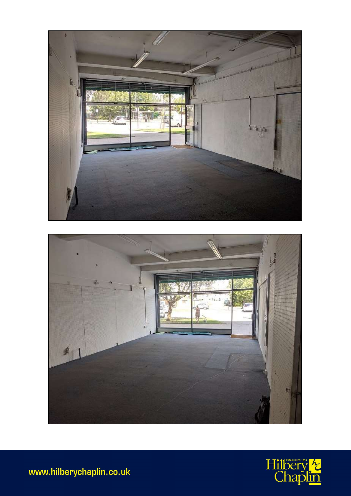





www.hilberychaplin.co.uk